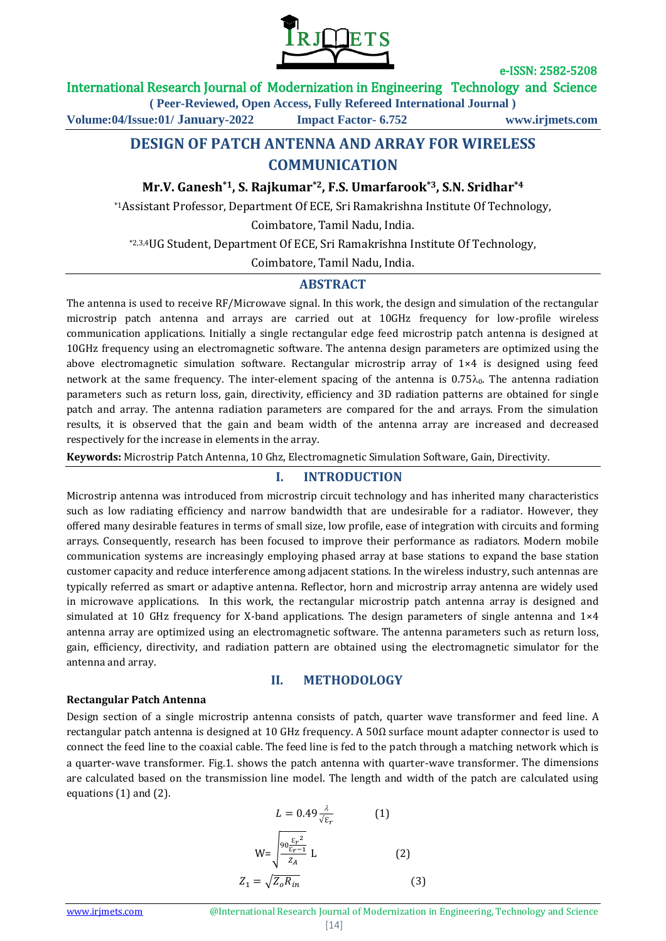

e-ISSN: 2582-5208

International Research Journal of Modernization in Engineering Technology and Science

**( Peer-Reviewed, Open Access, Fully Refereed International Journal )**

**Volume:04/Issue:01/ January-2022 Impact Factor- 6.752 www.irjmets.com**

# **DESIGN OF PATCH ANTENNA AND ARRAY FOR WIRELESS COMMUNICATION**

## **Mr.V. Ganesh\*1, S. Rajkumar\*2, F.S. Umarfarook\*3, S.N. Sridhar\*4**

\*1Assistant Professor, Department Of ECE, Sri Ramakrishna Institute Of Technology,

Coimbatore, Tamil Nadu, India.

\*2,3,4UG Student, Department Of ECE, Sri Ramakrishna Institute Of Technology,

Coimbatore, Tamil Nadu, India.

### **ABSTRACT**

The antenna is used to receive RF/Microwave signal. In this work, the design and simulation of the rectangular microstrip patch antenna and arrays are carried out at 10GHz frequency for low-profile wireless communication applications. Initially a single rectangular edge feed microstrip patch antenna is designed at 10GHz frequency using an electromagnetic software. The antenna design parameters are optimized using the above electromagnetic simulation software. Rectangular microstrip array of 1×4 is designed using feed network at the same frequency. The inter-element spacing of the antenna is  $0.75\lambda_0$ . The antenna radiation parameters such as return loss, gain, directivity, efficiency and 3D radiation patterns are obtained for single patch and array. The antenna radiation parameters are compared for the and arrays. From the simulation results, it is observed that the gain and beam width of the antenna array are increased and decreased respectively for the increase in elements in the array.

**Keywords:** Microstrip Patch Antenna, 10 Ghz, Electromagnetic Simulation Software, Gain, Directivity.

### **I. INTRODUCTION**

Microstrip antenna was introduced from microstrip circuit technology and has inherited many characteristics such as low radiating efficiency and narrow bandwidth that are undesirable for a radiator. However, they offered many desirable features in terms of small size, low profile, ease of integration with circuits and forming arrays. Consequently, research has been focused to improve their performance as radiators. Modern mobile communication systems are increasingly employing phased array at base stations to expand the base station customer capacity and reduce interference among adjacent stations. In the wireless industry, such antennas are typically referred as smart or adaptive antenna. Reflector, horn and microstrip array antenna are widely used in microwave applications. In this work, the rectangular microstrip patch antenna array is designed and simulated at 10 GHz frequency for X-band applications. The design parameters of single antenna and 1×4 antenna array are optimized using an electromagnetic software. The antenna parameters such as return loss, gain, efficiency, directivity, and radiation pattern are obtained using the electromagnetic simulator for the antenna and array.

#### **II. METHODOLOGY**

#### **Rectangular Patch Antenna**

Design section of a single microstrip antenna consists of patch, quarter wave transformer and feed line. A rectangular patch antenna is designed at 10 GHz frequency. A 50 $\Omega$  surface mount adapter connector is used to connect the feed line to the coaxial cable. The feed line is fed to the patch through a matching network which is a quarter-wave transformer. Fig.1. shows the patch antenna with quarter-wave transformer. The dimensions are calculated based on the transmission line model. The length and width of the patch are calculated using equations (1) and (2).

$$
L = 0.49 \frac{\lambda}{\sqrt{\varepsilon_r}}
$$
 (1)  

$$
W = \sqrt{\frac{90 \frac{\varepsilon_r^2}{\varepsilon_{r-1}}}{z_A}} L
$$
 (2)  

$$
Z_1 = \sqrt{Z_o R_{in}}
$$
 (3)

www.irimets.com **@International Research Journal of Modernization in Engineering, Technology and Science**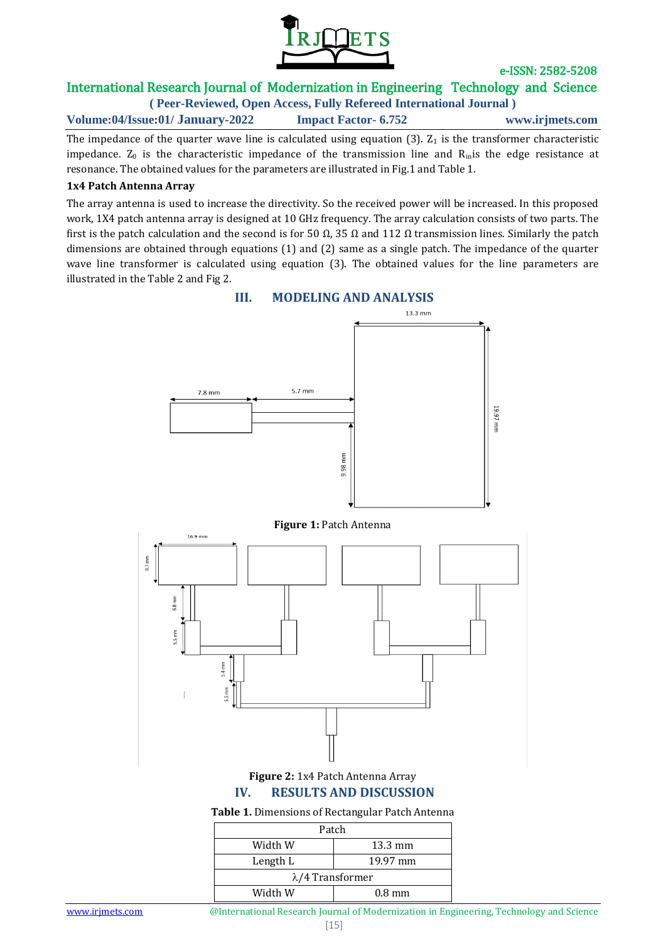

e-ISSN: 2582-5208

# International Research Journal of Modernization in Engineering Technology and Science

**( Peer-Reviewed, Open Access, Fully Refereed International Journal ) Volume:04/Issue:01/ January-2022 Impact Factor- 6.752 www.irjmets.com**

The impedance of the quarter wave line is calculated using equation  $(3)$ .  $Z_1$  is the transformer characteristic impedance.  $Z_0$  is the characteristic impedance of the transmission line and  $R_{in}$ is the edge resistance at resonance. The obtained values for the parameters are illustrated in Fig.1 and Table 1.

### **1x4 Patch Antenna Array**

The array antenna is used to increase the directivity. So the received power will be increased. In this proposed work, 1X4 patch antenna array is designed at 10 GHz frequency. The array calculation consists of two parts. The first is the patch calculation and the second is for 50  $\Omega$ , 35  $\Omega$  and 112  $\Omega$  transmission lines. Similarly the patch dimensions are obtained through equations (1) and (2) same as a single patch. The impedance of the quarter wave line transformer is calculated using equation (3). The obtained values for the line parameters are illustrated in the Table 2 and Fig 2.



## **III. MODELING AND ANALYSIS**

www.irjmets.com **@International Research Journal of Modernization in Engineering, Technology and Science** 

Width W  $0.8$  mm